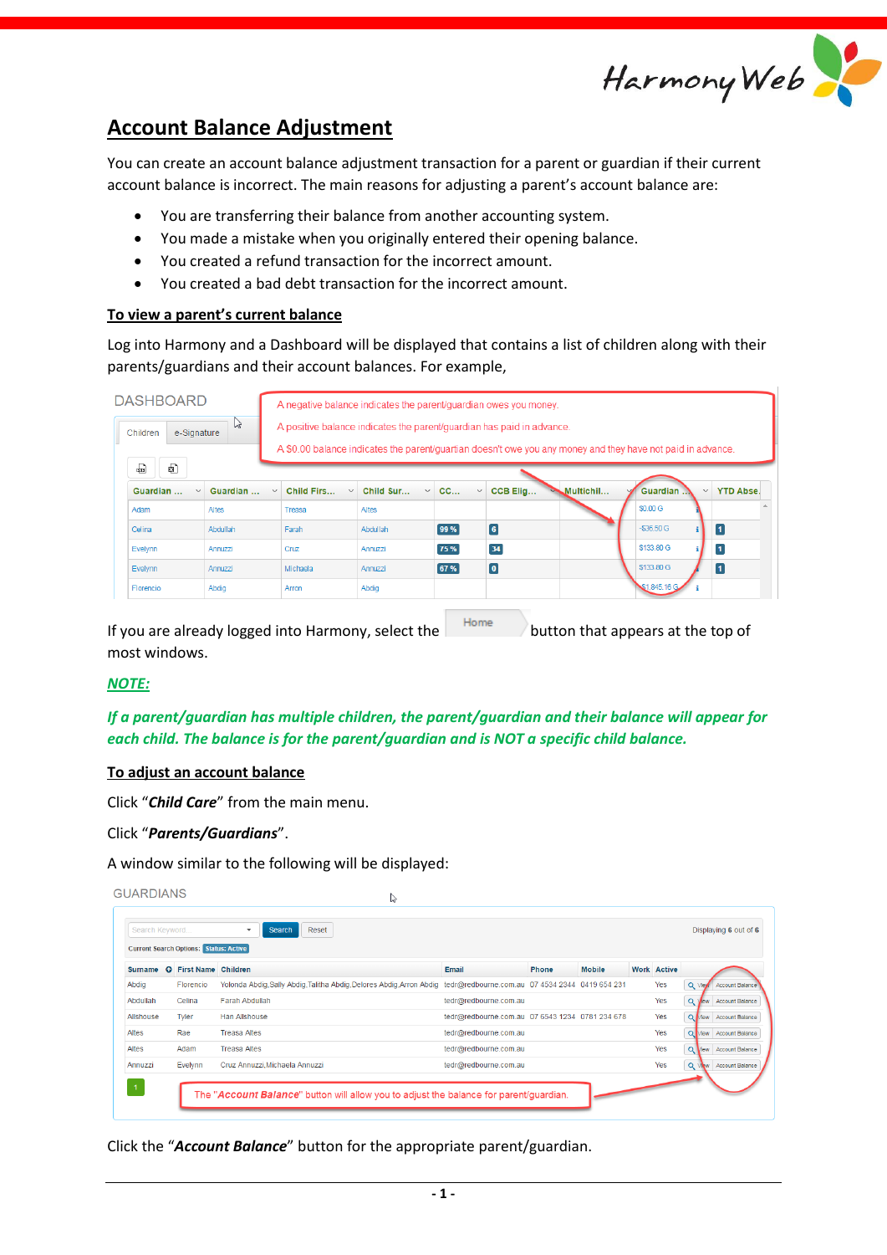

# **Account Balance Adjustment**

You can create an account balance adjustment transaction for a parent or guardian if their current account balance is incorrect. The main reasons for adjusting a parent's account balance are:

- You are transferring their balance from another accounting system.
- You made a mistake when you originally entered their opening balance.
- You created a refund transaction for the incorrect amount.
- You created a bad debt transaction for the incorrect amount.

### **To view a parent's current balance**

Log into Harmony and a Dashboard will be displayed that contains a list of children along with their parents/guardians and their account balances. For example,

| <b>DASHBOARD</b>             |          | A negative balance indicates the parent/guardian owes you money.                                                                                                                                                                    |                           |                    |                 |           |              |                                  |  |
|------------------------------|----------|-------------------------------------------------------------------------------------------------------------------------------------------------------------------------------------------------------------------------------------|---------------------------|--------------------|-----------------|-----------|--------------|----------------------------------|--|
| じ<br>e-Signature<br>Children |          | A positive balance indicates the parent/quardian has paid in advance.<br>A \$0.00 balance indicates the parent/quartian doesn't owe you any money and they have not paid in advance.                                                |                           |                    |                 |           |              |                                  |  |
| €<br>ఱ                       |          |                                                                                                                                                                                                                                     |                           |                    |                 |           |              |                                  |  |
| Guardian<br>$\checkmark$     | Guardian | Child Firs<br>$\checkmark$<br>$\checkmark$                                                                                                                                                                                          | Child Sur<br>$\checkmark$ | CC<br>$\checkmark$ | CCB Elig        | Multichil | Guardian     | <b>YTD Abse.</b><br>$\checkmark$ |  |
| Adam                         | Altes    | Treasa                                                                                                                                                                                                                              | Altes                     |                    |                 |           | \$0.00 G     |                                  |  |
| Celina                       | Abdullah | Farah                                                                                                                                                                                                                               | Abdullah                  | 99 %               | $6\phantom{.}6$ |           | $-$36.50$ G  | $\overline{\mathbf{1}}$          |  |
| Evelynn                      | Annuzzi  | Cruz                                                                                                                                                                                                                                | Annuzzi                   | 75 %               | 34              |           | \$133.80 G   | $\overline{\mathbf{1}}$          |  |
| Evelynn                      | Annuzzi  | Michaela                                                                                                                                                                                                                            | Annuzzi                   | 67 %               | $\bullet$       |           | \$133.80 G   | $\blacksquare$                   |  |
| Florencio                    | Abdia    | Arron                                                                                                                                                                                                                               | Abdia                     |                    |                 |           | \$1,845.16 G |                                  |  |
|                              |          | $\epsilon$ . The set of the set of the set of the set of the set of the set of the set of the set of the set of the set of the set of the set of the set of the set of the set of the set of the set of the set of the set of the s |                           | Home               |                 |           |              |                                  |  |

If you are already logged into Harmony, select the  $\vert$  button that appears at the top of most windows.

### *NOTE:*

*If a parent/guardian has multiple children, the parent/guardian and their balance will appear for each child. The balance is for the parent/guardian and is NOT a specific child balance.*

### **To adjust an account balance**

Click "*Child Care*" from the main menu.

Click "*Parents/Guardians*".

A window similar to the following will be displayed:

|                                               |                              | Reset<br><b>Search</b>                                                |                                                 |              |               |  |                    | Displaying 6 out of 6               |
|-----------------------------------------------|------------------------------|-----------------------------------------------------------------------|-------------------------------------------------|--------------|---------------|--|--------------------|-------------------------------------|
| <b>Current Search Options: Status: Active</b> |                              |                                                                       |                                                 |              |               |  |                    |                                     |
| <b>Surname</b>                                | <b>Q</b> First Name Children |                                                                       | Email                                           | <b>Phone</b> | <b>Mobile</b> |  | <b>Work Active</b> |                                     |
| Abdia                                         | Florencio                    | Yolonda Abdig, Sally Abdig, Talitha Abdig, Delores Abdig, Arron Abdig | tedr@redbourne.com.au 07 4534 2344 0419 654 231 |              |               |  | Yes                | Account Balance<br>Q View           |
| Abdullah                                      | Celina                       | <b>Farah Abdullah</b>                                                 | tedr@redbourne.com.au                           |              |               |  | Yes                | Q<br>Account Balance<br>View        |
| Allshouse                                     | Tyler                        | <b>Han Allshouse</b>                                                  | tedr@redbourne.com.au 07 6543 1234 0781 234 678 |              |               |  | Yes                | Q Mew Account Balance               |
| Altes                                         | Rae                          | <b>Treasa Altes</b>                                                   | tedr@redbourne.com.au                           |              |               |  | Yes                | Q Mew Account Balance               |
| Altes                                         | Adam                         | <b>Treasa Altes</b>                                                   | tedr@redbourne.com.au                           |              |               |  | Yes                | $\alpha$<br>Account Balance<br>view |
| Annuzzi                                       | Evelynn                      | Cruz Annuzzi, Michaela Annuzzi                                        | tedr@redbourne.com.au                           |              |               |  | Yes                | Q VAW<br>Account Balance            |

Click the "*Account Balance*" button for the appropriate parent/guardian.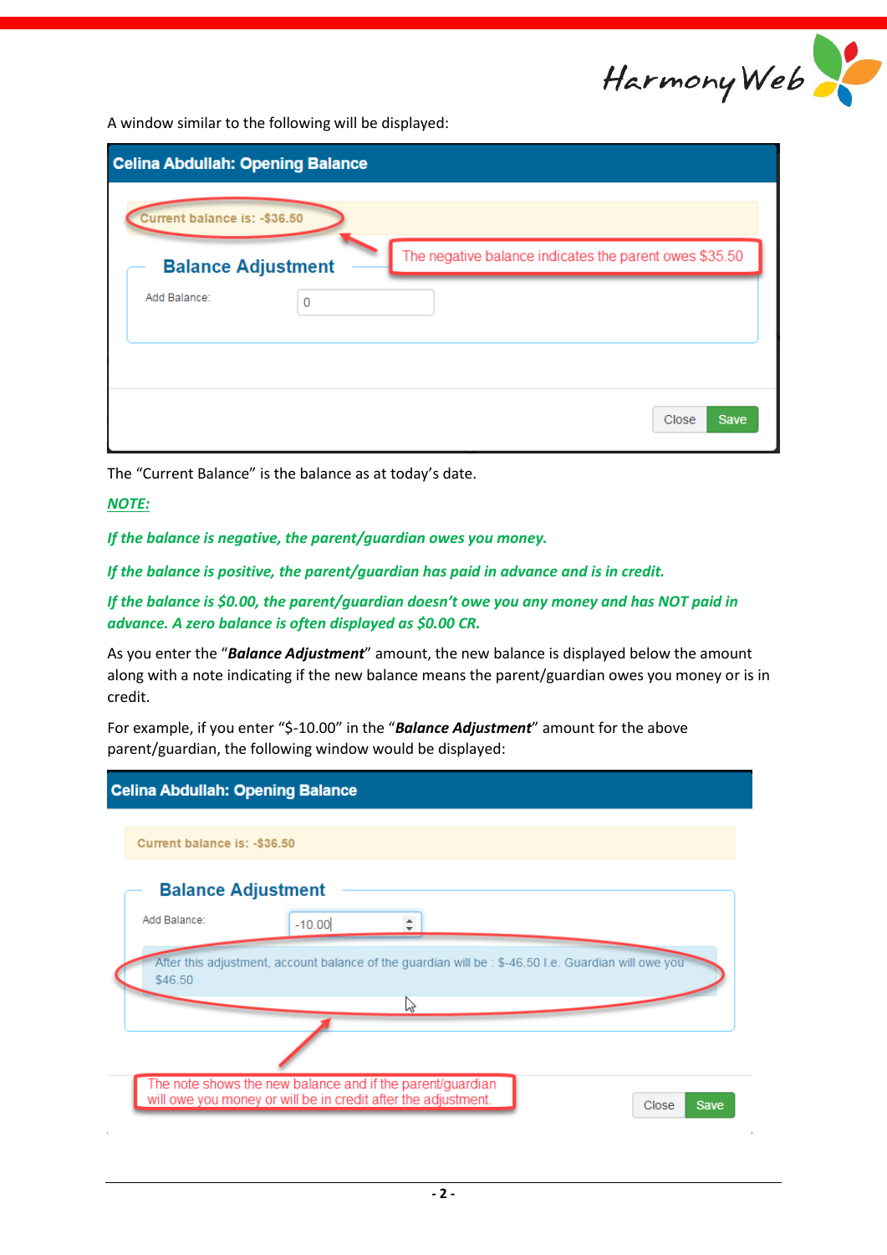

A window similar to the following will be displayed:

| <b>Celina Abdullah: Opening Balance</b> |   |                                                        |
|-----------------------------------------|---|--------------------------------------------------------|
| Current balance is: - \$36.50           |   |                                                        |
| <b>Balance Adjustment</b>               |   | The negative balance indicates the parent owes \$35.50 |
| Add Balance:                            | 0 |                                                        |
|                                         |   |                                                        |
|                                         |   | Close<br><b>Save</b>                                   |

The "Current Balance" is the balance as at today's date.

## *NOTE:*

*If the balance is negative, the parent/guardian owes you money.*

*If the balance is positive, the parent/guardian has paid in advance and is in credit.*

*If the balance is \$0.00, the parent/guardian doesn't owe you any money and has NOT paid in advance. A zero balance is often displayed as \$0.00 CR.*

As you enter the "*Balance Adjustment*" amount, the new balance is displayed below the amount along with a note indicating if the new balance means the parent/guardian owes you money or is in credit.

For example, if you enter "\$-10.00" in the "*Balance Adjustment*" amount for the above parent/guardian, the following window would be displayed:

| <b>Celina Abdullah: Opening Balance</b>                                                                                    |          |  |  |                                                                                                      |  |  |  |
|----------------------------------------------------------------------------------------------------------------------------|----------|--|--|------------------------------------------------------------------------------------------------------|--|--|--|
|                                                                                                                            |          |  |  |                                                                                                      |  |  |  |
|                                                                                                                            |          |  |  |                                                                                                      |  |  |  |
| Current balance is: -\$36.50                                                                                               |          |  |  |                                                                                                      |  |  |  |
|                                                                                                                            |          |  |  |                                                                                                      |  |  |  |
| <b>Balance Adjustment</b>                                                                                                  |          |  |  |                                                                                                      |  |  |  |
| Add Balance:                                                                                                               | $-10.00$ |  |  |                                                                                                      |  |  |  |
|                                                                                                                            |          |  |  |                                                                                                      |  |  |  |
|                                                                                                                            |          |  |  | After this adjustment, account balance of the guardian will be : \$-46.50 I.e. Guardian will owe you |  |  |  |
| \$46.50                                                                                                                    |          |  |  |                                                                                                      |  |  |  |
| ド                                                                                                                          |          |  |  |                                                                                                      |  |  |  |
|                                                                                                                            |          |  |  |                                                                                                      |  |  |  |
|                                                                                                                            |          |  |  |                                                                                                      |  |  |  |
|                                                                                                                            |          |  |  |                                                                                                      |  |  |  |
| The note shows the new balance and if the parent/guardian<br>will owe you money or will be in credit after the adjustment. |          |  |  |                                                                                                      |  |  |  |
|                                                                                                                            |          |  |  |                                                                                                      |  |  |  |